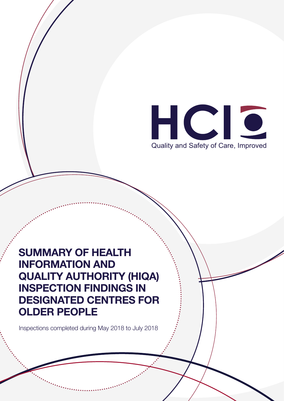HCIO Quality and Safety of Care, Improved

# SUMMARY OF HEALTH INFORMATION AND QUALITY AUTHORITY (HIQA) INSPECTION FINDINGS IN DESIGNATED CENTRES FOR OLDER PEOPLE

Inspections completed during May 2018 to July 2018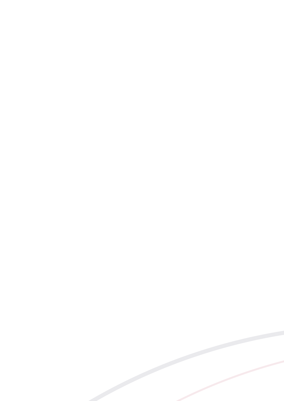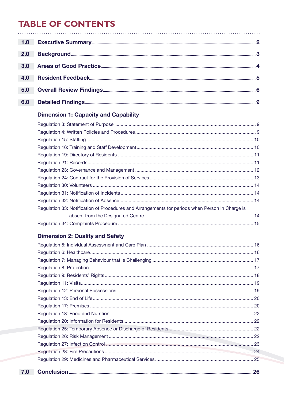# **TABLE OF CONTENTS**

| 2.0 |  |
|-----|--|
|     |  |
|     |  |
|     |  |
|     |  |
|     |  |
|     |  |

#### **Dimension 1: Capacity and Capability**

| Regulation 33: Notification of Procedures and Arrangements for periods when Person in Charge is |  |
|-------------------------------------------------------------------------------------------------|--|
|                                                                                                 |  |
|                                                                                                 |  |

#### **Dimension 2: Quality and Safety**

| 7.0 | 26 |
|-----|----|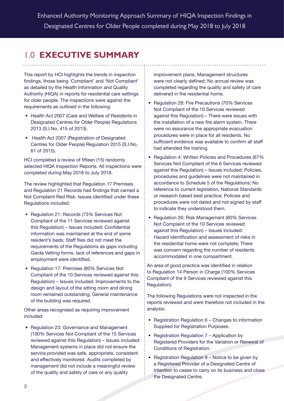# 1.0 **EXECUTIVE SUMMARY**

This report by HCI highlights the trends in inspection findings, those being 'Compliant' and 'Not Compliant' as detailed by the Health Information and Quality Authority (HIQA) in reports for residential care settings for older people. The inspections were against the requirements as outlined in the following:

- Health Act 2007 (Care and Welfare of Residents in Designated Centres for Older People) Regulations 2013 (S.I.No. 415 of 2013).
- Health Act 2007 (Registration of Designated Centres for Older People) Regulation 2015 (S.I.No. 61 of 2015).

HCI completed a review of fifteen (15) randomly selected HIQA Inspection Reports. All inspections were completed during May 2018 to July 2018.

The review highlighted that Regulation 17 Premises and Regulation 21 Records had findings that carried a Not Complaint Red Risk. Issues identified under these Regulations included:

- Regulation 21: Records (73% Services Not Compliant of the 11 Services reviewed against this Regulation) – Issues included: Confidential information was maintained at the end of some resident's beds; Staff files did not meet the requirements of the Regulations as gaps including Garda Vetting forms, lack of references and gaps in employment were identified.
- Regulation 17: Premises (80% Services Not Compliant of the 10 Services reviewed against this Regulation) – Issues included: Improvements to the design and layout of the sitting room and dining room remained outstanding; General maintenance of the building was required.

Other areas recognised as requiring improvement included:

• Regulation 23: Governance and Management (100% Services Not Compliant of the 15 Services reviewed against this Regulation) – Issues included: Management systems in place did not ensure the service provided was safe, appropriate, consistent and effectively monitored. Audits completed by management did not include a meaningful review of the quality and safety of care or any quality

improvement plans. Management structures were not clearly defined; No annual review was completed regarding the quality and safety of care delivered in the residential home.

- Regulation 28: Fire Precautions (70% Services Not Compliant of the 10 Services reviewed against this Regulation) – There were issues with the installation of a new fire alarm system. There were no assurance the appropriate evacuation procedures were in place for all residents. No sufficient evidence was available to confirm all staff had attended fire training.
- Regulation 4: Written Policies and Procedures (67% Services Not Compliant of the 6 Services reviewed against this Regulation) – Issues included: Policies, procedures and guidelines were not maintained in accordance to Schedule 5 of the Regulations; No reference to current legislation, National Standards or research based best practice; Policies and procedures were not dated and not signed by staff to indicate they understood them.
- Regulation 26: Risk Management (60% Services Not Complaint of the 10 Services reviewed against this Regulation) – Issues included: Hazard identification and assessment of risks in the residential home were not complete; There was concern regarding the number of residents accommodated in one compartment.

An area of good practice was identified in relation to Regulation 14 Person in Charge (100% Services Compliant of the 9 Services reviewed against this Regulation).

The following Regulations were not inspected in the reports reviewed and were therefore not included in the analysis:

- Registration Regulation 6 Changes to information Supplied for Registration Purposes.
- Registration Regulation 7 Application by Registered Providers for the Variation or Renewal of Conditions of Registration.
- Registration Regulation 9 Notice to be given by a Registered Provider of a Designated Centre of Intention to cease to carry on its business and close the Designated Centre.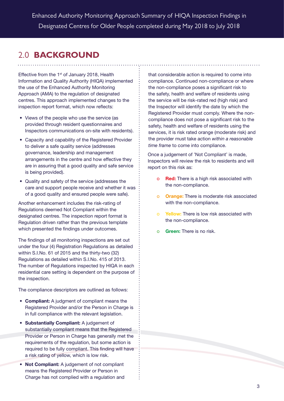# 2.0 **BACKGROUND**

Effective from the 1<sup>st</sup> of January 2018, Health Information and Quality Authority (HIQA) implemented the use of the Enhanced Authority Monitoring Approach (AMA) to the regulation of designated centres. This approach implemented changes to the inspection report format, which now reflects:

- Views of the people who use the service (as provided through resident questionnaires and Inspectors communications on-site with residents).
- Capacity and capability of the Registered Provider to deliver a safe quality service (addresses governance, leadership and management arrangements in the centre and how effective they are in assuring that a good quality and safe service is being provided).
- Quality and safety of the service (addresses the care and support people receive and whether it was of a good quality and ensured people were safe).

Another enhancement includes the risk-rating of Regulations deemed Not Compliant within the designated centres. The inspection report format is Regulation driven rather than the previous template which presented the findings under outcomes.

The findings of all monitoring inspections are set out under the four (4) Registration Regulations as detailed within S.I.No. 61 of 2015 and the thirty-two (32) Regulations as detailed within S.I.No. 415 of 2013. The number of Regulations inspected by HIQA in each residential care setting is dependent on the purpose of the inspection.

The compliance descriptors are outlined as follows:

- Compliant: A judgment of compliant means the Registered Provider and/or the Person in Charge is in full compliance with the relevant legislation.
- Substantially Compliant: A judgement of substantially compliant means that the Registered Provider or Person in Charge has generally met the requirements of the regulation, but some action is required to be fully compliant. This finding will have a risk rating of yellow, which is low risk.
- Not Compliant: A judgement of not compliant means the Registered Provider or Person in Charge has not complied with a regulation and

that considerable action is required to come into compliance. Continued non-compliance or where the non-compliance poses a significant risk to the safety, health and welfare of residents using the service will be risk-rated red (high risk) and the Inspector will identify the date by which the Registered Provider must comply. Where the noncompliance does not pose a significant risk to the safety, health and welfare of residents using the services, it is risk rated orange (moderate risk) and the provider must take action *within a reasonable time frame* to come into compliance.

Once a judgement of 'Not Compliant' is made, Inspectors will review the risk to residents and will report on this risk as:

- o Red: There is a high risk associated with the non-compliance.
- o Orange: There is moderate risk associated with the non-compliance.
- Yellow: There is low risk associated with the non-compliance.
- o Green: There is no risk.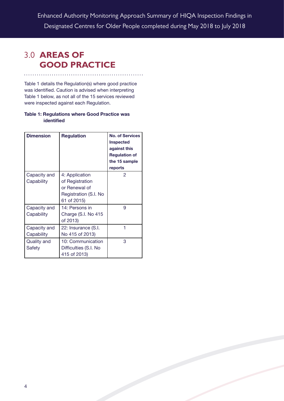# 3.0 **AREAS OF GOOD PRACTICE**

Table 1 details the Regulation(s) where good practice was identified. Caution is advised when interpreting Table 1 below, as not all of the 15 services reviewed were inspected against each Regulation.

#### Table 1: Regulations where Good Practice was identified

| <b>Dimension</b>           | <b>Regulation</b>                                                                          | <b>No. of Services</b><br><b>Inspected</b><br>against this<br><b>Regulation of</b><br>the 15 sample<br>reports |
|----------------------------|--------------------------------------------------------------------------------------------|----------------------------------------------------------------------------------------------------------------|
| Capacity and<br>Capability | 4: Application<br>of Registration<br>or Renewal of<br>Registration (S.I. No<br>61 of 2015) | 2                                                                                                              |
| Capacity and<br>Capability | 14: Persons in<br>Charge (S.I. No 415<br>of 2013)                                          | 9                                                                                                              |
| Capacity and<br>Capability | 22: Insurance (S.I.<br>No 415 of 2013)                                                     |                                                                                                                |
| Quality and<br>Safety      | 10: Communication<br>Difficulties (S.I. No<br>415 of 2013)                                 | 3                                                                                                              |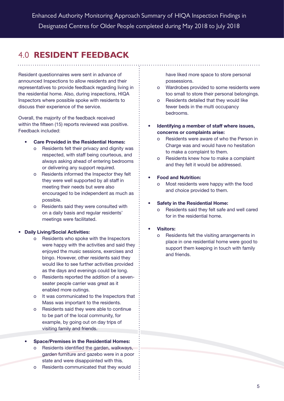# 4.0 **RESIDENT FEEDBACK**

Resident questionnaires were sent in advance of announced Inspections to allow residents and their representatives to provide feedback regarding living in the residential home. Also, during inspections, HIQA Inspectors where possible spoke with residents to discuss their experience of the service.

Overall, the majority of the feedback received within the fifteen (15) reports reviewed was positive. Feedback included:

#### • Care Provided in the Residential Homes:

- o Residents felt their privacy and dignity was respected, with staff being courteous, and always asking ahead of entering bedrooms or delivering any support required.
- o Residents informed the Inspector they felt they were well supported by all staff in meeting their needs but were also encouraged to be independent as much as possible.
- o Residents said they were consulted with on a daily basis and regular residents' meetings were facilitated.

#### • Daily Living/Social Activities:

- o Residents who spoke with the Inspectors were happy with the activities and said they enjoyed the music sessions, exercises and bingo. However, other residents said they would like to see further activities provided as the days and evenings could be long.
- o Residents reported the addition of a seven seater people carrier was great as it enabled more outings.
- o It was communicated to the Inspectors that Mass was important to the residents.
- o Residents said they were able to continue to be part of the local community, for example, by going out on day trips of visiting family and friends.

#### • Space/Premises in the Residential Homes:

- Residents identified the garden, walkways, garden furniture and gazebo were in a poor state and were disappointed with this.
- o Residents communicated that they would

 have liked more space to store personal possessions.

- o Wardrobes provided to some residents were too small to store their personal belongings.
- o Residents detailed that they would like fewer beds in the multi occupancy bedrooms.
- Identifying a member of staff where issues, concerns or complaints arise:
	- o Residents were aware of who the Person in Charge was and would have no hesitation to make a complaint to them.
	- o Residents knew how to make a complaint and they felt it would be addressed.

#### • Food and Nutrition:

 o Most residents were happy with the food and choice provided to them.

#### Safety in the Residential Home:

 o Residents said they felt safe and well cared for in the residential home.

#### **Visitors:**

 o Residents felt the visiting arrangements in place in one residential home were good to support them keeping in touch with family and friends.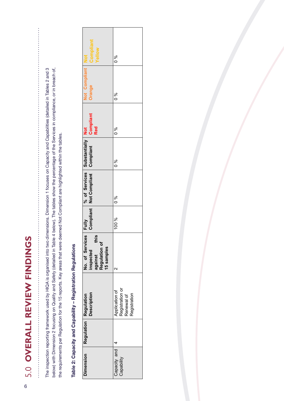5.0 OVERALL REVIEW FINDINGS 5.0 **OVERALL REVIEW FINDINGS**

The inspection report of the inspection report of the property into the property into the property and Capacity and Capacity and Capacity and Capabilities on International International International International Internat with Dimension 2 focusing on Dimension 2 focusing on Dimension 2 focusing on Dimension Compliance in the percentage of the Services show the Services in compliance in compliance in compliance in compliance, or in complian The inspection reporting framework used by HIQA is organised into two dimensions. Dimension 1 focuses on Capacity and Capabilities (detailed in Tables 2 and 3 The inspection reporting framework used by HIQA is organised into two dimensions. Dimension 1 focuses on Capacity and Capabilities (detailed in Tables 2 and 3 below) with Dimension 2 focusing on Quality and Safety (detailed in Table 4 below). The tables show the percentage of the Services in compliance, or in breach of, below) with Dimension 2 focusing on Quality and Safety (detailed in Table 4 below). The tables show the percentage of the Services in compliance, or in breach of, the requirements per Regulation for the 15 reports. Key areas that were deemed Not Compliant are highlighted within the tables. the requirements per Regulation for the 15 reports. Key areas that were deemed Not Compliant are highlighted within the tables. **5.0 Overall Review Findings**

**Summary of HIQA Inspection Findings in Designated Centres for Older People completed during May 2018 to July 2018**

# Table 2: Capacity and Capability - Registration Regulations Table 2: Capacity and Capability – Registration Regulations

| Compliant<br>(Yellow                                                                                                                                                            | ა<br>0 %                                                        |
|---------------------------------------------------------------------------------------------------------------------------------------------------------------------------------|-----------------------------------------------------------------|
| Not Compliant Not<br>Orange                                                                                                                                                     | 0%                                                              |
| Compliant<br>Red                                                                                                                                                                | ა<br>ბ                                                          |
|                                                                                                                                                                                 | ა<br>ბ                                                          |
|                                                                                                                                                                                 |                                                                 |
|                                                                                                                                                                                 | $100\%$   0%                                                    |
| No. of Services Fully   % of Services   Substantially   Not<br>inspected   Compliant   Not Compliant   Compliant   Com<br>this<br><b>Regulation of</b><br>against<br>15 samples | c                                                               |
| <b>Description</b>                                                                                                                                                              | Registration or<br>Application of<br>Registration<br>Renewal of |
| Regulation   Regulation                                                                                                                                                         |                                                                 |
| dimension                                                                                                                                                                       | Capacity and<br>Capability                                      |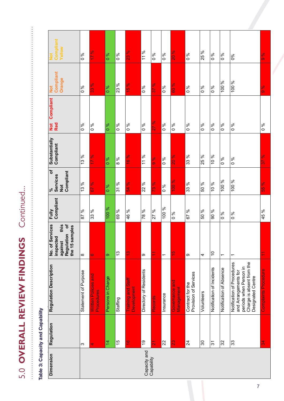5.0 OVERALL REVIEW FINDINGS Continued... 5.0 **OVERALL REVIEW FINDINGS** Continued...

**Summary of HIQA Inspection Findings in Designated Centres for Older People completed during May 2018 to July 2018**

# Table 3: Capacity and Capability Table 3: Capacity and Capability

| Compliant<br>Yellow<br>ğ                                                                            | $\frac{96}{6}$       | 17%                                | $\frac{96}{6}$       | $\frac{6}{6}$ | <b>23%</b>                                      | 11%                    | $\frac{96}{6}$          | <b>9%0</b>               | 20 %                         | $\%$ 0                                    | 25 %         | $0\%$                     | 960                     | 0%                                                                                                                             | ဲ<br>စီ                              |
|-----------------------------------------------------------------------------------------------------|----------------------|------------------------------------|----------------------|---------------|-------------------------------------------------|------------------------|-------------------------|--------------------------|------------------------------|-------------------------------------------|--------------|---------------------------|-------------------------|--------------------------------------------------------------------------------------------------------------------------------|--------------------------------------|
| Compliant<br>Orange<br>$\frac{1}{2}$                                                                | $\frac{96}{6}$       | <b>33%</b>                         | $\frac{96}{6}$       | 23 %          | 15%                                             | $\frac{96}{6}$         | 37%                     | 960                      | <b>9% 09</b>                 | $\%$ 0                                    | ৡ<br>$\circ$ | $\%$ 0                    | 100 %                   | 100 %                                                                                                                          | ဲ<br>စီ                              |
| Compliant<br>Not<br>Red                                                                             | $\%$ 0               | $\frac{96}{6}$                     | $\approx$<br>$\circ$ | $\frac{6}{6}$ | $\%$ 0                                          | $\%$ 0                 | 27 %                    | $\%$ 0                   | $\frac{6}{6}$                | $\%$ 0                                    | $\%$ 0       | $\%$ 0                    | $\%$ 0                  | $\%$ 0                                                                                                                         | $\frac{9}{6}$                        |
| Substantially<br>Compliant                                                                          | 13 %                 | 17%                                | $\frac{96}{6}$       | 8%            | $-6\%$                                          | 11 %                   | se<br>O                 | $\%$ 0                   | <b>20%</b>                   | 33 %                                      | 25 %         | $\frac{96}{10}$           | $\%$ 0                  | $\%0$                                                                                                                          | $\infty$<br>$\overline{\mathcal{E}}$ |
| ৳<br>Compliant<br><b>Services</b><br>$\frac{1}{2}$<br>್ನೇ                                           | 13 %                 | 67 %                               | $\frac{96}{6}$       | 31%           | 54 %                                            | 22 %                   | 73 %                    | % 0                      | $-96$ 001                    | 33 %                                      | 50 %         | $^{10.96}$                | 100 %                   | 100 %                                                                                                                          | 55%                                  |
| Compliant<br>Fully                                                                                  | 87 %                 | 33%                                | 100 %                | 69 %          | 46 %                                            | 78 %                   | 27 %                    | 100 %                    | $\frac{96}{6}$               | 67%                                       | 50 %         | 90 %                      | $\%$ 0                  | $\frac{96}{6}$                                                                                                                 | 45 %                                 |
| Services<br>this<br>$\mathfrak{b}$<br>the 15 samples<br>Regulation<br>inspected<br>against<br>No.of | $\infty$             | 6                                  | $\infty$             | $\frac{3}{2}$ | <u>က္</u>                                       | ω                      | Ξ                       | $\overline{\phantom{0}}$ | $\frac{1}{2}$                | Φ                                         | 4            | $\tilde{c}$               | $\overline{ }$          | $\overline{ }$                                                                                                                 | $\overline{\mathbf{r}}$              |
| <b>Regulation Description</b>                                                                       | Statement of Purpose | Written Policies and<br>Procedures | Persons in Charge    | Staffing      | <b>Iraining and Staff</b><br><b>Development</b> | Directory of Residents | Records                 | Insurance                | Governance and<br>Management | Provision of Services<br>Contract for the | Volunteers   | Notification of Incidents | Notification of Absence | Charge is absent from the<br>Notification of Procedures<br>periods when Person in<br>and Arrangements for<br>Designated Centre | <b>Complaints Procedure</b>          |
| Regulation                                                                                          | ω                    | 4                                  | $\overline{4}$       | 15            | $\frac{8}{1}$                                   | ó,                     | $\overline{\mathbf{z}}$ | 22                       | $\mathbb{C}^2$               | $\overline{24}$                           | 30           | $\frac{1}{3}$             | 32                      | 33                                                                                                                             | $\mathbf{z}$                         |
| <b>Dimension</b>                                                                                    |                      | Capacity and<br>Capability         |                      |               |                                                 |                        |                         |                          |                              |                                           |              |                           |                         |                                                                                                                                |                                      |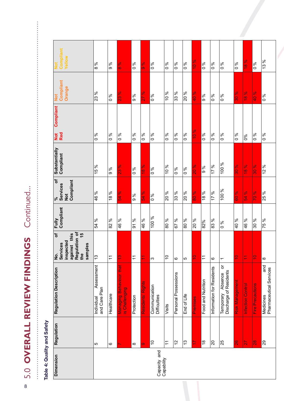5.0 **OVERALL REVIEW FINDINGS** Continued... <sup>®</sup> 5.0 OVERALL REVIEW FINDINGS Continued... **Summary of HIQA Inspection Findings in Designated Centres for Older People completed during May 2018 to July 2018**

# Table 4: Quality and Safety Table 4: Quality and Safety

| Compliant<br>Yellow<br>ğ                                                                                    | 8 %                                       | % 6                        | $\mathcal{S}_{\mathbf{c}}$<br>8                     | $0\%$                       | $\aleph$<br>တ                                        | $\frac{96}{6}$                       | $\frac{9}{6}$           | $\%$ 0                  | $\frac{96}{6}$   | 10 %                   | $\frac{8}{6}$            | $\%$ 0                       | $\frac{96}{6}$                                                            | $0\%$                       | 18 %                                                       | $\%$ 0                        | 13%                                         |
|-------------------------------------------------------------------------------------------------------------|-------------------------------------------|----------------------------|-----------------------------------------------------|-----------------------------|------------------------------------------------------|--------------------------------------|-------------------------|-------------------------|------------------|------------------------|--------------------------|------------------------------|---------------------------------------------------------------------------|-----------------------------|------------------------------------------------------------|-------------------------------|---------------------------------------------|
| Compliant<br>Orange<br>ă                                                                                    | 23 %                                      | $% \mathbf{G}$<br>$\circ$  | 23 %                                                | $%$ $\theta$                | 27 %                                                 | $\frac{96}{6}$                       | 10%                     | $\%$<br>33              | 20 %             | 40 %                   | ა<br>ბ                   | $\%$ 0                       | $\%$ 0                                                                    | <b>30 %</b>                 | 18%                                                        | 40 %                          | %<br>$\circ$                                |
| Compliant                                                                                                   |                                           |                            |                                                     |                             |                                                      |                                      |                         | $\%$                    |                  | 10 %                   |                          |                              |                                                                           |                             |                                                            |                               |                                             |
| Not<br>Red<br>Substantially<br>Compliant                                                                    | $\frac{96}{6}$<br>15 %                    | $\%$ 0<br>% 6              | $\%$ 0<br><b>23 %</b>                               | $^{96}0$<br>$\frac{6}{6}$ 0 | $\%$ 0<br>18 %                                       | $\frac{9}{6}$ 0<br>$\frac{96}{6}$    | $\frac{6}{6}$ 0<br>10 % | $\bar{\circ}$<br>$\%$ 0 | $\%$ 0<br>$\%$ 0 | 20 %                   | $\frac{96}{6}$<br>ა<br>ბ | $\%$ 0<br>$^{96}$ $\angle 1$ | $\frac{6}{6}$<br>100 %                                                    | $0\%$<br>$\infty$           | 0%<br>$\aleph$                                             | $\frac{9}{6}$ 0<br><b>30%</b> | $\%$ 0<br>12%                               |
| ৳<br>Not<br>Compliant<br><b>Services</b><br>వ్                                                              | 46 %                                      | 18 %                       | 54 %                                                | $%$ $\theta$                | 54 %                                                 | $\frac{96}{6}$                       | 20 %                    | 33 %                    | 20 %             | 80 %                   | 18 %                     | $\frac{9}{6}$ $\angle$       | 100 %                                                                     | $\overline{3}$<br>60 %      | $\frac{\infty}{\sqrt{2}}$<br>$\frac{5}{6}$<br>$\mathbf{r}$ | $\frac{9}{20}$                | 25 %                                        |
| mpliant<br>≥<br>Ēull<br><b>Got</b>                                                                          | వ్<br>54                                  | %<br>82                    | $\%$<br>$\frac{4}{6}$                               | $\approx$<br>5              | $\%$<br>46                                           | %<br>$\frac{100}{2}$                 | ೫<br>$\rm{SO}$          | $\%$<br>57              | %<br>80          | $\%$<br>$\overline{0}$ | 82%                      | %<br>83                      | $\frac{6}{6}$                                                             | $\approx$<br>$\overline{6}$ | ಸ<br>46                                                    | ಸ<br>30                       | $\approx$<br>75                             |
| Regulation of<br>$\frac{15}{2}$<br>Ⴆ<br>against this<br>inspected<br>Services<br>samples<br>the<br><u>ہ</u> | $\frac{3}{2}$                             | $\tilde{\tau}$             | တ္                                                  | $\tilde{\tau}$              | $\overline{\phantom{0}}$<br>$\overline{\phantom{0}}$ | S                                    | $\overline{C}$          | ဖ                       | 5                | $\frac{1}{\sqrt{2}}$   | $\tilde{\tau}$           | $\circ$                      | $\overline{\phantom{0}}$                                                  | $\frac{1}{\sqrt{2}}$        | $\overline{\mathbf{r}}$                                    | $\overline{C}$                | ${}^{\infty}$                               |
| Regulation Description                                                                                      | Assessment<br>and Care Plan<br>Individual | Healthcare                 | <b>inat</b><br>Managing Behaviour<br>is Challenging | Protection                  | Residents' Rights                                    | Communication<br><b>Difficulties</b> | Visits                  | Personal Possessions    | End of Life      | <b>Premises</b>        | Food and Nutrition       | Information for Residents    | $\rm \overleftarrow{o}$<br>Discharge of Residents<br>Absence<br>Temporary | <b>Risk Management</b>      | Infection Control                                          | <b>Fire Precautions</b>       | and<br>Medicines<br>Pharmaceutical Services |
| Regulation                                                                                                  | 5                                         | ဖ                          | N                                                   | ∞                           | <u>(က</u>                                            | ó                                    | $\tilde{t}$             | 57                      | 13               | H                      | $\frac{8}{1}$            | $\overline{0}$               | 25                                                                        | $\frac{8}{2}$               | $\overline{27}$                                            | $\frac{8}{2}$                 | 29                                          |
| Dimension                                                                                                   |                                           | Capacity and<br>Capability |                                                     |                             |                                                      |                                      |                         |                         |                  |                        |                          |                              |                                                                           |                             |                                                            |                               |                                             |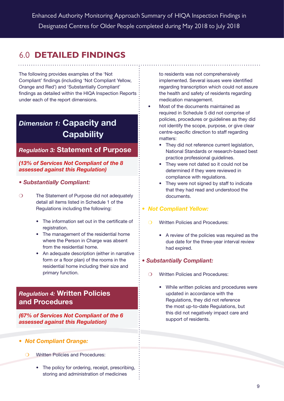# 6.0 **DETAILED FINDINGS**

The following provides examples of the 'Not Compliant' findings (including 'Not Compliant Yellow, Orange and Red') and 'Substantially Compliant' findings as detailed within the HIQA Inspection Reports under each of the report dimensions.

# *Dimension 1:* Capacity and **Capability**

*Regulation 3:* Statement of Purpose

*(13% of Services Not Compliant of the 8 assessed against this Regulation)*

- *Substantially Compliant:*
- O The Statement of Purpose did not adequately detail all items listed in Schedule 1 of the Regulations including the following:
	- The information set out in the certificate of registration.
	- The management of the residential home where the Person in Charge was absent from the residential home.
	- An adequate description (either in narrative form or a floor plan) of the rooms in the residential home including their size and primary function.

# *Regulation 4:* Written Policies and Procedures

*(67% of Services Not Compliant of the 6 assessed against this Regulation)*

- *• Not Compliant Orange:*
	- O Written Policies and Procedures:
		- The policy for ordering, receipt, prescribing, storing and administration of medicines

 to residents was not comprehensively implemented. Several issues were identified regarding transcription which could not assure the health and safety of residents regarding medication management.

- Most of the documents maintained as required in Schedule 5 did not comprise of policies, procedures or guidelines as they did not identify the scope, purpose, or give clear centre-specific direction to staff regarding matters:
	- They did not reference current legislation, National Standards or research-based best practice professional guidelines.
	- They were not dated so it could not be determined if they were reviewed in compliance with regulations.
	- They were not signed by staff to indicate that they had read and understood the documents.

#### *• Not Compliant Yellow:*

- O Written Policies and Procedures:
	- A review of the policies was required as the due date for the three-year interval review had expired.

#### *• Substantially Compliant:*

- O Written Policies and Procedures:
	- While written policies and procedures were updated in accordance with the Regulations, they did not reference the most up-to-date Regulations, but this did not negatively impact care and support of residents.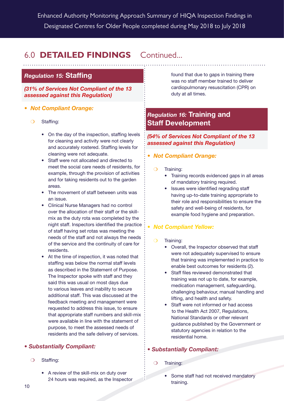# 6.0 **DETAILED FINDINGS** Continued...

#### *Regulation 15:* Staffing

*(31% of Services Not Compliant of the 13 assessed against this Regulation)*

- *• Not Compliant Orange:*
	- ❍ Staffing:
		- On the day of the inspection, staffing levels for cleaning and activity were not clearly and accurately rostered. Staffing levels for cleaning were not adequate.
		- Staff were not allocated and directed to meet the social care needs of residents, for example, through the provision of activities and for taking residents out to the garden areas.
		- The movement of staff between units was an issue.
		- Clinical Nurse Managers had no control over the allocation of their staff or the skillmix as the duty rota was completed by the night staff. Inspectors identified the practice of staff having set rotas was meeting the needs of the staff and not always the needs of the service and the continuity of care for residents.
		- At the time of inspection, it was noted that staffing was below the normal staff levels as described in the Statement of Purpose. The Inspector spoke with staff and they said this was usual on most days due to various leaves and inability to secure additional staff. This was discussed at the feedback meeting and management were requested to address this issue, to ensure that appropriate staff numbers and skill-mix were available in line with the statement of purpose, to meet the assessed needs of residents and the safe delivery of services.

#### *• Substantially Compliant:*

- ❍ Staffing:
	- A review of the skill-mix on duty over 24 hours was required, as the Inspector

found that due to gaps in training there was no staff member trained to deliver cardiopulmonary resuscitation (CPR) on duty at all times.

# *Regulation 16:* Training and Staff Development

*(54% of Services Not Compliant of the 13 assessed against this Regulation)*

#### *• Not Compliant Orange:*

- O Training:
	- Training records evidenced gaps in all areas of mandatory training required.
	- Issues were identified regrading staff having up-to-date training appropriate to their role and responsibilities to ensure the safety and well-being of residents, for example food hygiene and preparation.

#### *• Not Compliant Yellow:*

- O Training:
	- Overall, the Inspector observed that staff were not adequately supervised to ensure that training was implemented in practice to enable best outcomes for residents (2).
	- Staff files reviewed demonstrated that training was not up to date, for example, medication management, safeguarding, challenging behaviour, manual handling and lifting, and health and safety.
	- Staff were not informed or had access to the Health Act 2007, Regulations, National Standards or other relevant guidance published by the Government or statutory agencies in relation to the residential home.

#### *• Substantially Compliant:*

- ❍ Training:
	- Some staff had not received mandatory training.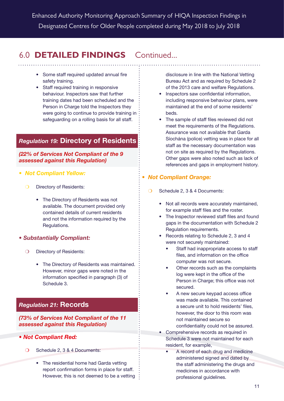- Some staff required updated annual fire safety training.
- Staff required training in responsive behaviour. Inspectors saw that further training dates had been scheduled and the Person in Charge told the Inspectors they were going to continue to provide training in safeguarding on a rolling basis for all staff.

#### *Regulation 19:* Directory of Residents

*(22% of Services Not Compliant of the 9 assessed against this Regulation)*

- *• Not Compliant Yellow:*
	- O Directory of Residents:
		- The Directory of Residents was not available. The document provided only contained details of current residents and not the information required by the Regulations.
- *Substantially Compliant:*
	- O Directory of Residents:
		- The Directory of Residents was maintained. However, minor gaps were noted in the information specified in paragraph (3) of Schedule 3.

#### *Regulation 21:* Records

*(73% of Services Not Compliant of the 11 assessed against this Regulation)*

- *Not Compliant Red:*
	- O Schedule 2, 3 & 4 Documents:
		- The residential home had Garda vetting report confirmation forms in place for staff. However, this is not deemed to be a vetting

disclosure in line with the National Vetting Bureau Act and as required by Schedule 2 of the 2013 care and welfare Regulations.

- Inspectors saw confidential information, including responsive behaviour plans, were maintained at the end of some residents' beds.
- The sample of staff files reviewed did not meet the requirements of the Regulations. Assurance was not available that Garda Síochána (police) vetting was in place for all staff as the necessary documentation was not on site as required by the Regulations. Other gaps were also noted such as lack of references and gaps in employment history.

#### *• Not Compliant Orange:*

- O Schedule 2, 3 & 4 Documents:
	- Not all records were accurately maintained, for example staff files and the roster.
	- The Inspector reviewed staff files and found gaps in the documentation with Schedule 2 Regulation requirements.
	- Records relating to Schedule 2, 3 and 4 were not securely maintained:
		- Staff had inappropriate access to staff files, and information on the office computer was not secure.
		- Other records such as the complaints log were kept in the office of the Person in Charge; this office was not secured.
		- A new secure keypad access office was made available. This contained a secure unit to hold residents' files, however, the door to this room was not maintained secure so confidentiality could not be assured.
	- Comprehensive records as required in Schedule 3 were not maintained for each resident, for example,
		- A record of each drug and medicine administered signed and dated by the staff administering the drugs and medicines in accordance with professional guidelines.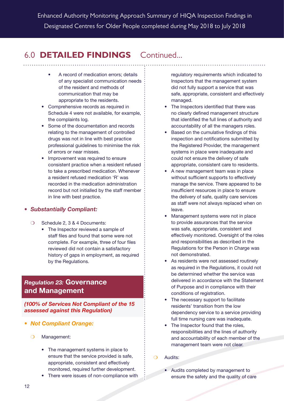- A record of medication errors; details of any specialist communication needs of the resident and methods of communication that may be appropriate to the residents.
- Comprehensive records as required in Schedule 4 were not available, for example, the complaints log.
- Some of the documentation and records relating to the management of controlled drugs was not in line with best practice professional guidelines to minimise the risk of errors or near misses.
- Improvement was required to ensure consistent practice when a resident refused to take a prescribed medication. Whenever a resident refused medication 'R' was recorded in the medication administration record but not initialled by the staff member in line with best practice.

#### *• Substantially Compliant:*

- O Schedule 2, 3 & 4 Documents:
	- The Inspector reviewed a sample of staff files and found that some were not complete. For example, three of four files reviewed did not contain a satisfactory history of gaps in employment, as required by the Regulations.

#### *Regulation 23:* Governance and Management

#### *(100% of Services Not Compliant of the 15 assessed against this Regulation)*

- *• Not Compliant Orange:*
	- O Management:
		- The management systems in place to ensure that the service provided is safe, appropriate, consistent and effectively monitored, required further development.
		- There were issues of non-compliance with

regulatory requirements which indicated to Inspectors that the management system did not fully support a service that was safe, appropriate, consistent and effectively managed.

- The Inspectors identified that there was no clearly defined management structure that identified the full lines of authority and accountability of all the managers roles.
- Based on the cumulative findings of this inspection and notifications submitted by the Registered Provider, the management systems in place were inadequate and could not ensure the delivery of safe appropriate, consistent care to residents.
- A new management team was in place without sufficient supports to effectively manage the service. There appeared to be insufficient resources in place to ensure the delivery of safe, quality care services as staff were not always replaced when on leave.
- Management systems were not in place to provide assurances that the service was safe, appropriate, consistent and effectively monitored. Oversight of the roles and responsibilities as described in the Regulations for the Person in Charge was not demonstrated.
- As residents were not assessed routinely as required in the Regulations, it could not be determined whether the service was delivered in accordance with the Statement of Purpose and in compliance with their conditions of registration.
- The necessary support to facilitate residents' transition from the low dependency service to a service providing full time nursing care was inadequate.
- The Inspector found that the roles, responsibilities and the lines of authority and accountability of each member of the management team were not clear.
- ❍ Audits:
	- Audits completed by management to ensure the safety and the quality of care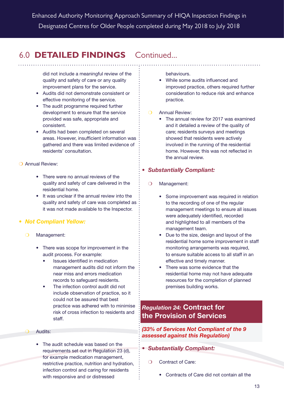did not include a meaningful review of the quality and safety of care or any quality improvement plans for the service.

- Audits did not demonstrate consistent or effective monitoring of the service.
- The audit programme required further development to ensure that the service provided was safe, appropriate and consistent.
- Audits had been completed on several areas. However, insufficient information was gathered and there was limited evidence of residents' consultation.

#### ❍ Annual Review:

- There were no annual reviews of the quality and safety of care delivered in the residential home.
- It was unclear if the annual review into the quality and safety of care was completed as it was not made available to the Inspector.

#### *• Not Compliant Yellow:*

- Management:
	- There was scope for improvement in the audit process. For example:
		- Issues identified in medication management audits did not inform the near miss and errors medication records to safeguard residents.
		- The infection control audit did not include observation of practice, so it could not be assured that best practice was adhered with to minimise risk of cross infection to residents and staff.

#### Audits:

 • The audit schedule was based on the requirements set out in Regulation 23 (d), for example medication management, restrictive practice, nutrition and hydration, infection control and caring for residents with responsive and or distressed

#### behaviours.

 • While some audits influenced and improved practice, others required further consideration to reduce risk and enhance practice.

#### O Annual Review:

 • The annual review for 2017 was examined and it detailed a review of the quality of care; residents surveys and meetings showed that residents were actively involved in the running of the residential home. However, this was not reflected in the annual review.

#### *• Substantially Compliant:*

- ❍ Management:
	- Some improvement was required in relation to the recording of one of the regular management meetings to ensure all issues were adequately identified, recorded and highlighted to all members of the management team.
	- Due to the size, design and layout of the residential home some improvement in staff monitoring arrangements was required, to ensure suitable access to all staff in an effective and timely manner.
	- There was some evidence that the residential home may not have adequate resources for the completion of planned premises building works.

#### *Regulation 24:* Contract for the Provision of Services

#### *(33% of Services Not Compliant of the 9 assessed against this Regulation)*

- *• Substantially Compliant:*
	- O Contract of Care:
		- Contracts of Care did not contain all the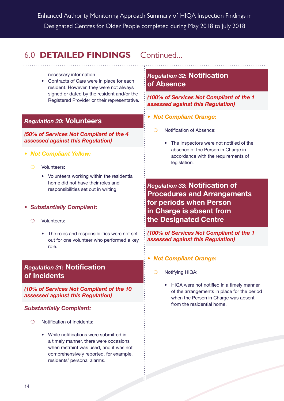necessary information.

 • Contracts of Care were in place for each resident. However, they were not always signed or dated by the resident and/or the Registered Provider or their representative.

#### *Regulation 30:* Volunteers

*(50% of Services Not Compliant of the 4 assessed against this Regulation)*

- *• Not Compliant Yellow:*
	- ❍ Volunteers:
		- Volunteers working within the residential home did not have their roles and responsibilities set out in writing.
- *• Substantially Compliant:*
	- ❍ Volunteers:
		- The roles and responsibilities were not set out for one volunteer who performed a key role.

# *Regulation 31:* Notification of Incidents

*(10% of Services Not Compliant of the 10 assessed against this Regulation)*

#### *Substantially Compliant:*

- ❍ Notification of Incidents:
	- While notifications were submitted in a timely manner, there were occasions when restraint was used, and it was not comprehensively reported, for example, residents' personal alarms.

# *Regulation 32:* Notification of Absence

*(100% of Services Not Compliant of the 1 assessed against this Regulation)*

- *• Not Compliant Orange:*
	- O Notification of Absence:
		- The Inspectors were not notified of the absence of the Person in Charge in accordance with the requirements of legislation.

*Regulation 33:* Notification of Procedures and Arrangements for periods when Person in Charge is absent from the Designated Centre

*(100% of Services Not Compliant of the 1 assessed against this Regulation)*

#### *• Not Compliant Orange:*

- O Notifying HIQA:
	- HIQA were not notified in a timely manner of the arrangements in place for the period when the Person in Charge was absent from the residential home.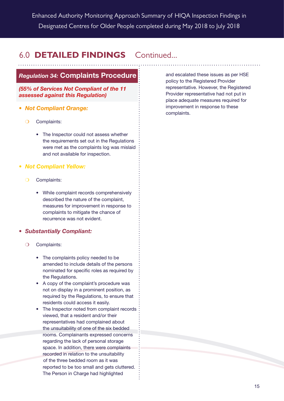# 6.0 **DETAILED FINDINGS** Continued...

#### *Regulation 34:* Complaints Procedure

*(55% of Services Not Compliant of the 11 assessed against this Regulation)*

- *• Not Compliant Orange:*
	- O Complaints:
		- The Inspector could not assess whether the requirements set out in the Regulations were met as the complaints log was mislaid and not available for inspection.
- *• Not Compliant Yellow:*
	- O Complaints:
		- While complaint records comprehensively described the nature of the complaint, measures for improvement in response to complaints to mitigate the chance of recurrence was not evident.

#### *• Substantially Compliant:*

- O Complaints:
	- The complaints policy needed to be amended to include details of the persons nominated for specific roles as required by the Regulations.
	- A copy of the complaint's procedure was not on display in a prominent position, as required by the Regulations, to ensure that residents could access it easily.
	- The Inspector noted from complaint records viewed, that a resident and/or their representatives had complained about the unsuitability of one of the six bedded rooms. Complainants expressed concerns regarding the lack of personal storage space. In addition, there were complaints recorded in relation to the unsuitability of the three bedded room as it was reported to be too small and gets cluttered. The Person in Charge had highlighted

 and escalated these issues as per HSE policy to the Registered Provider representative. However, the Registered Provider representative had not put in place adequate measures required for improvement in response to these complaints.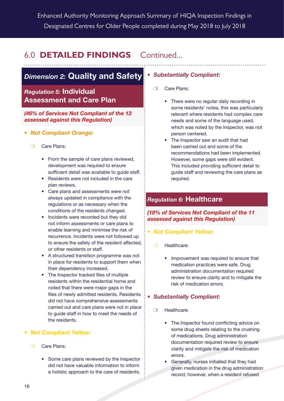# 6.0 **DETAILED FINDINGS** Continued...

# *Dimension 2:* Quality and Safety

#### *Regulation 5:* Individual Assessment and Care Plan

*(46% of Services Not Compliant of the 13 assessed against this Regulation)*

- *• Not Compliant Orange:*
	- O Care Plans:
		- From the sample of care plans reviewed, development was required to ensure sufficient detail was available to guide staff.
		- Residents were not included in the care plan reviews.
		- Care plans and assessments were not always updated in compliance with the regulations or as necessary when the conditions of the residents changed.
		- Incidents were recorded but they did not inform assessments or care plans to enable learning and minimise the risk of recurrence. Incidents were not followed up to ensure the safety of the resident affected, or other residents or staff.
		- A structured transition programme was not in place for residents to support them when their dependency increased.
		- The Inspector tracked files of multiple residents within the residential home and noted that there were major gaps in the files of newly admitted residents. Residents did not have comprehensive assessments carried out and care plans were not in place to guide staff in how to meet the needs of the residents.

#### *• Not Compliant Yellow:*

- O Care Plans:
	- Some care plans reviewed by the Inspector did not have valuable information to inform a holistic approach to the care of residents.

#### *• Substantially Compliant:*

- ❍ Care Plans:
	- There were no regular daily recording in some residents' notes, this was particularly relevant where residents had complex care needs and some of the language used, which was noted by the Inspector, was not person centered.
	- The Inspector saw an audit that had been carried out and some of the recommendations had been implemented. However, some gaps were still evident. This included providing sufficient detail to guide staff and reviewing the care plans as required.

#### *Regulation 6:* Healthcare

#### *(18% of Services Not Compliant of the 11 assessed against this Regulation)*

#### *• Not Compliant Yellow:*

- O Healthcare:
	- Improvement was required to ensure that medication practices were safe. Drug administration documentation required review to ensure clarity and to mitigate the risk of medication errors.

#### *• Substantially Compliant:*

- ❍ Healthcare:
	- The Inspector found conflicting advice on some drug sheets relating to the crushing of medications. Drug administration documentation required review to ensure clarity and mitigate the risk of medication errors.
	- Generally, nurses initialled that they had given medication in the drug administration record; however, when a resident refused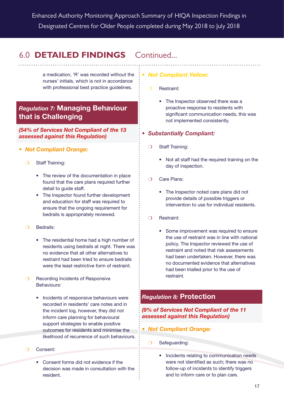a medication, 'R' was recorded without the nurses' initials, which is not in accordance with professional best practice guidelines.

#### *Regulation 7:* Managing Behaviour that is Challenging

*(54% of Services Not Compliant of the 13 assessed against this Regulation)*

#### *• Not Compliant Orange:*

- O Staff Training:
	- The review of the documentation in place found that the care plans required further detail to guide staff.
	- The Inspector found further development and education for staff was required to ensure that the ongoing requirement for bedrails is appropriately reviewed.
- O Bedrails:
	- The residential home had a high number of residents using bedrails at night. There was no evidence that all other alternatives to restraint had been tried to ensure bedrails were the least restrictive form of restraint.
- O Recording Incidents of Responsive Behaviours:
	- Incidents of responsive behaviours were recorded in residents' care notes and in the incident log, however, they did not inform care planning for behavioural support strategies to enable positive outcomes for residents and minimise the likelihood of recurrence of such behaviours.
- ❍ Consent:
	- Consent forms did not evidence if the decision was made in consultation with the resident.

#### *• Not Compliant Yellow:*

- ❍ Restraint:
	- The Inspector observed there was a proactive response to residents with significant communication needs, this was not implemented consistently.

#### *• Substantially Compliant:*

- ❍ Staff Training:
	- Not all staff had the required training on the day of inspection.
- O Care Plans:
	- The Inspector noted care plans did not provide details of possible triggers or intervention to use for individual residents.
- O Restraint:
	- Some improvement was required to ensure the use of restraint was in line with national policy. The Inspector reviewed the use of restraint and noted that risk assessments had been undertaken. However, there was no documented evidence that alternatives had been trialled prior to the use of restraint.

#### *Regulation 8:* Protection

#### *(9% of Services Not Compliant of the 11 assessed against this Regulation)*

- *• Not Compliant Orange:*
	- O Safeguarding:
		- Incidents relating to communication needs were not identified as such; there was no follow-up of incidents to identify triggers and to inform care or to plan care.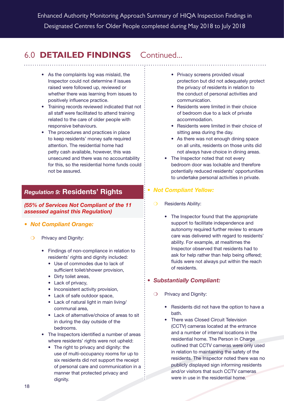# 6.0 **DETAILED FINDINGS** Continued...

 • As the complaints log was mislaid, the Inspector could not determine if issues raised were followed up, reviewed or whether there was learning from issues to positively influence practice.

. . . . . . . . . . . . . . .

- Training records reviewed indicated that not all staff were facilitated to attend training related to the care of older people with responsive behaviours.
- The procedures and practices in place to keep residents' money safe required attention. The residential home had petty cash available, however, this was unsecured and there was no accountability for this, so the residential home funds could not be assured.

#### *Regulation 9:* Residents' Rights

*(55% of Services Not Compliant of the 11 assessed against this Regulation)*

- *• Not Compliant Orange:*
	- O Privacy and Dignity:
		- Findings of non-compliance in relation to residents' rights and dignity included:
			- Use of commodes due to lack of sufficient toilet/shower provision,
			- Dirty toilet areas,
			- Lack of privacy,
			- Inconsistent activity provision,
			- Lack of safe outdoor space,
			- Lack of natural light in main living/ communal area,
			- Lack of alternative/choice of areas to sit in during the day outside of the bedrooms.
		- The Inspectors identified a number of areas where residents' rights were not upheld:
			- The right to privacy and dignity: the use of multi-occupancy rooms for up to six residents did not support the receipt of personal care and communication in a manner that protected privacy and dignity.
- Privacy screens provided visual protection but did not adequately protect the privacy of residents in relation to the conduct of personal activities and communication.
- Residents were limited in their choice of bedroom due to a lack of private accommodation.
- Residents were limited in their choice of sitting area during the day.
- As there was not enough dining space on all units, residents on those units did not always have choice in dining areas.
- The Inspector noted that not every bedroom door was lockable and therefore potentially reduced residents' opportunities to undertake personal activities in private.

#### *• Not Compliant Yellow:*

- O Residents Ability:
	- The Inspector found that the appropriate support to facilitate independence and autonomy required further review to ensure care was delivered with regard to residents' ability. For example, at mealtimes the Inspector observed that residents had to ask for help rather than help being offered; fluids were not always put within the reach of residents.

#### *• Substantially Compliant:*

- O Privacy and Dignity:
	- Residents did not have the option to have a bath.
	- There was Closed Circuit Television (CCTV) cameras located at the entrance and a number of internal locations in the residential home. The Person in Charge outlined that CCTV cameras were only used in relation to maintaining the safety of the residents. The Inspector noted there was no publicly displayed sign informing residents and/or visitors that such CCTV cameras were in use in the residential home.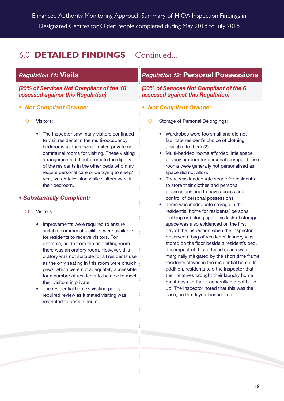# 6.0 **DETAILED FINDINGS** Continued...

#### *Regulation 11:* Visits

*(20% of Services Not Compliant of the 10 assessed against this Regulation)*

- *• Not Compliant Orange:*
	- ❍ Visitors:
		- The Inspector saw many visitors continued to visit residents in the multi-occupancy bedrooms as there were limited private or communal rooms for visiting. These visiting arrangements did not promote the dignity of the residents in the other beds who may require personal care or be trying to sleep/ rest, watch television while visitors were in their bedroom.

#### *• Substantially Compliant:*

- O Visitors:
	- Improvements were required to ensure suitable communal facilities were available for residents to receive visitors. For example, aside from the one sitting room there was an oratory room. However, this oratory was not suitable for all residents use as the only seating in this room were church pews which were not adequately accessible for a number of residents to be able to meet their visitors in private.
	- The residential home's visiting policy required review as it stated visiting was restricted to certain hours.

#### *Regulation 12:* Personal Possessions

*(33% of Services Not Compliant of the 6 assessed against this Regulation)*

#### *• Not Compliant Orange:*

- O Storage of Personal Belongings:
	- Wardrobes were too small and did not facilitate resident's choice of clothing available to them (2).
	- Multi-bedded rooms afforded little space, privacy or room for personal storage. These rooms were generally not personalised as space did not allow.
	- There was inadequate space for residents to store their clothes and personal possessions and to have access and control of personal possessions.
	- There was inadequate storage in the residential home for residents' personal clothing or belongings. This lack of storage space was also evidenced on the first day of the inspection when the Inspector observed a bag of residents' laundry was stored on the floor beside a resident's bed. The impact of this reduced space was marginally mitigated by the short time frame residents stayed in the residential home. In addition, residents told the Inspector that their relatives brought their laundry home most days so that it generally did not build up. The Inspector noted that this was the case, on the days of inspection.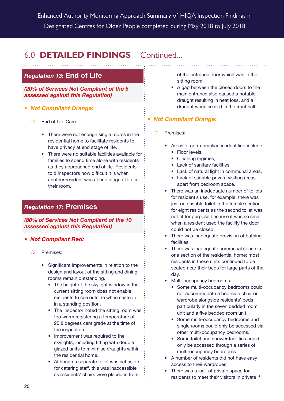# 6.0 **DETAILED FINDINGS** Continued...

#### *Regulation 13:* End of Life

*(20% of Services Not Compliant of the 5 assessed against this Regulation)*

- *• Not Compliant Orange:*
	- O End of Life Care:
		- There were not enough single rooms in the residential home to facilitate residents to have privacy at end stage of life.
		- There were no suitable facilities available for families to spend time alone with residents as they approached end of life. Residents told Inspectors how difficult it is when another resident was at end stage of life in their room.

#### *Regulation 17:* Premises

*(80% of Services Not Compliant of the 10 assessed against this Regulation)*

- *Not Compliant Red:*
	- ❍ Premises:
		- Significant improvements in relation to the design and layout of the sitting and dining rooms remain outstanding.
			- The height of the skylight window in the current sitting room does not enable residents to see outside when seated or in a standing position.
			- The Inspector noted the sitting room was too warm registering a temperature of 25.8 degrees centigrade at the time of the inspection.
			- Improvement was required to the skylights, including fitting with double glazed units to minimise draughts within the residential home.
			- Although a separate toilet was set aside for catering staff, this was inaccessible as residents' chairs were placed in front

of the entrance door which was in the sitting room.

 • A gap between the closed doors to the main entrance also caused a notable draught resulting in heat loss, and a draught when seated in the front hall.

#### *• Not Compliant Orange:*

- O Premises:
	- Areas of non-compliance identified include:
		- Floor levels,
		- Cleaning regimes,
		- Lack of sanitary facilities,
		- Lack of natural light in communal areas,
		- Lack of suitable private visiting areas apart from bedroom space.
	- There was an inadequate number of toilets for resident's use, for example, there was just one usable toilet in the female section for eight residents as the second toilet was not fit for purpose because it was so small when a resident used the facility the door could not be closed.
	- There was inadequate provision of bathing facilities.
	- There was inadequate communal space in one section of the residential home; most residents in these units continued to be seated near their beds for large parts of the day.
	- Multi-occupancy bedrooms:
		- Some multi-occupancy bedrooms could not accommodate a bed-side chair or wardrobe alongside residents' beds particularly in the seven bedded room unit and a five bedded room unit.
		- Some multi-occupancy bedrooms and single rooms could only be accessed via other multi-occupancy bedrooms.
		- Some toilet and shower facilities could only be accessed through a series of multi-occupancy bedrooms.
	- A number of residents did not have easy access to their wardrobes.
	- There was a lack of private space for residents to meet their visitors in private if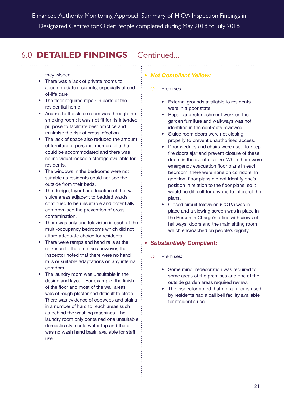they wished.

- There was a lack of private rooms to accommodate residents, especially at endof-life care
- The floor required repair in parts of the residential home.

- Access to the sluice room was through the smoking room; it was not fit for its intended purpose to facilitate best practice and minimise the risk of cross infection.
- The lack of space also reduced the amount of furniture or personal memorabilia that could be accommodated and there was no individual lockable storage available for residents.
- The windows in the bedrooms were not suitable as residents could not see the outside from their beds.
- The design, layout and location of the two sluice areas adjacent to bedded wards continued to be unsuitable and potentially compromised the prevention of cross contamination.
- There was only one television in each of the multi-occupancy bedrooms which did not afford adequate choice for residents.
- There were ramps and hand rails at the entrance to the premises however, the Inspector noted that there were no hand rails or suitable adaptations on any internal corridors.
- The laundry room was unsuitable in the design and layout. For example, the finish of the floor and most of the wall areas was of rough plaster and difficult to clean. There was evidence of cobwebs and stains in a number of hard to reach areas such as behind the washing machines. The laundry room only contained one unsuitable domestic style cold water tap and there was no wash hand basin available for staff use.

#### *• Not Compliant Yellow:*

- O Premises:
	- External grounds available to residents were in a poor state.

- Repair and refurbishment work on the garden furniture and walkways was not identified in the contracts reviewed.
- Sluice room doors were not closing properly to prevent unauthorised access.
- Door wedges and chairs were used to keep fire doors ajar and prevent closure of these doors in the event of a fire. While there were emergency evacuation floor plans in each bedroom, there were none on corridors. In addition, floor plans did not identify one's position in relation to the floor plans, so it would be difficult for anyone to interpret the plans.
- Closed circuit television (CCTV) was in place and a viewing screen was in place in the Person in Charge's office with views of hallways, doors and the main sitting room which encroached on people's dignity.

#### *• Substantially Compliant:*

- O Premises:
	- Some minor redecoration was required to some areas of the premises and one of the outside garden areas required review.
	- The Inspector noted that not all rooms used by residents had a call bell facility available for resident's use.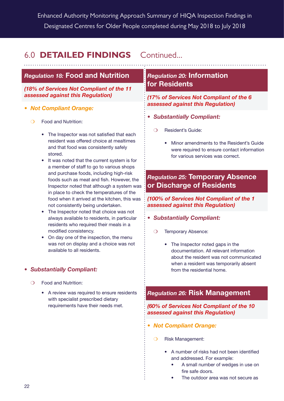# 6.0 **DETAILED FINDINGS** Continued...

#### *Regulation 18:* Food and Nutrition

*(18% of Services Not Compliant of the 11 assessed against this Regulation)*

- *• Not Compliant Orange:*
	- O Food and Nutrition:
		- The Inspector was not satisfied that each resident was offered choice at mealtimes and that food was consistently safely stored.
		- It was noted that the current system is for a member of staff to go to various shops and purchase foods, including high-risk foods such as meat and fish. However, the Inspector noted that although a system was in place to check the temperatures of the food when it arrived at the kitchen, this was not consistently being undertaken.
		- The Inspector noted that choice was not always available to residents, in particular residents who required their meals in a modified consistency.
		- On day one of the inspection, the menu was not on display and a choice was not available to all residents.

#### *• Substantially Compliant:*

- ❍ Food and Nutrition:
	- A review was required to ensure residents with specialist prescribed dietary requirements have their needs met.

### *Regulation 20:* Information for Residents

*(17% of Services Not Compliant of the 6 assessed against this Regulation)*

- *• Substantially Compliant:*
	- O Resident's Guide:
		- Minor amendments to the Resident's Guide were required to ensure contact information for various services was correct.

#### *Regulation 25:* Temporary Absence or Discharge of Residents

#### *(100% of Services Not Compliant of the 1 assessed against this Regulation)*

- *• Substantially Compliant:*
	- O Temporary Absence:
		- The Inspector noted gaps in the documentation. All relevant information about the resident was not communicated when a resident was temporarily absent from the residential home.

#### *Regulation 26:* Risk Management

*(60% of Services Not Compliant of the 10 assessed against this Regulation)*

- *• Not Compliant Orange:*
	- O Risk Management:
		- A number of risks had not been identified and addressed. For example:
			- A small number of wedges in use on fire safe doors.
			- The outdoor area was not secure as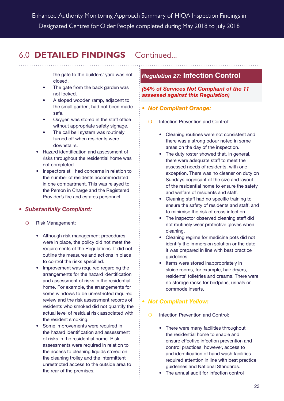the gate to the builders' yard was not closed.

- The gate from the back garden was not locked.
- A sloped wooden ramp, adjacent to the small garden, had not been made safe.
- Oxygen was stored in the staff office without appropriate safety signage.
- The call bell system was routinely turned off when residents were downstairs.
- Hazard identification and assessment of risks throughout the residential home was not completed.
- Inspectors still had concerns in relation to the number of residents accommodated in one compartment. This was relayed to the Person in Charge and the Registered Provider's fire and estates personnel.

#### *• Substantially Compliant:*

- O Risk Management:
	- Although risk management procedures were in place, the policy did not meet the requirements of the Regulations. It did not outline the measures and actions in place to control the risks specified.
	- Improvement was required regarding the arrangements for the hazard identification and assessment of risks in the residential home. For example, the arrangements for some windows to be unrestricted required review and the risk assessment records of residents who smoked did not quantify the actual level of residual risk associated with the resident smoking.
	- Some improvements were required in the hazard identification and assessment of risks in the residential home. Risk assessments were required in relation to the access to cleaning liquids stored on the cleaning trolley and the intermittent unrestricted access to the outside area to the rear of the premises.

#### *Regulation 27:* Infection Control

#### *(54% of Services Not Compliant of the 11 assessed against this Regulation)*

#### *• Not Compliant Orange:*

- O Infection Prevention and Control:
	- Cleaning routines were not consistent and there was a strong odour noted in some areas on the day of the inspection.
	- The duty roster showed that, in general, there were adequate staff to meet the assessed needs of residents, with one exception. There was no cleaner on duty on Sundays cognisant of the size and layout of the residential home to ensure the safety and welfare of residents and staff.
	- Cleaning staff had no specific training to ensure the safety of residents and staff, and to minimise the risk of cross infection.
	- The Inspector observed cleaning staff did not routinely wear protective gloves when cleaning.
	- Cleaning regime for medicine pots did not identify the immersion solution or the date it was prepared in line with best practice guidelines.
	- Items were stored inappropriately in sluice rooms, for example, hair dryers, residents' toiletries and creams. There were no storage racks for bedpans, urinals or commode inserts.

#### *• Not Compliant Yellow:*

- O Infection Prevention and Control:
	- There were many facilities throughout the residential home to enable and ensure effective infection prevention and control practices, however, access to and identification of hand wash facilities required attention in line with best practice guidelines and National Standards.
	- The annual audit for infection control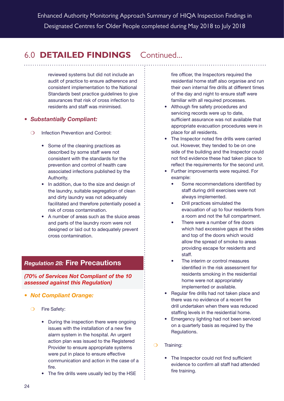reviewed systems but did not include an audit of practice to ensure adherence and consistent implementation to the National Standards best practice guidelines to give assurances that risk of cross infection to residents and staff was minimised.

*• Substantially Compliant:*

- O Infection Prevention and Control:
	- Some of the cleaning practices as described by some staff were not consistent with the standards for the prevention and control of health care associated infections published by the Authority.
	- In addition, due to the size and design of the laundry, suitable segregation of clean and dirty laundry was not adequately facilitated and therefore potentially posed a risk of cross contamination.
	- A number of areas such as the sluice areas and parts of the laundry room were not designed or laid out to adequately prevent cross contamination.

#### *Regulation 28:* Fire Precautions

*(70% of Services Not Compliant of the 10 assessed against this Regulation)*

- *• Not Compliant Orange:*
	- O Fire Safety:
		- During the inspection there were ongoing issues with the installation of a new fire alarm system in the hospital. An urgent action plan was issued to the Registered Provider to ensure appropriate systems were put in place to ensure effective communication and action in the case of a fire.
		- The fire drills were usually led by the HSE

fire officer, the Inspectors required the residential home staff also organise and run their own internal fire drills at different times of the day and night to ensure staff were familiar with all required processes.

- Although fire safety procedures and servicing records were up to date, sufficient assurance was not available that appropriate evacuation procedures were in place for all residents.
- The Inspector noted fire drills were carried out. However, they tended to be on one side of the building and the Inspector could not find evidence these had taken place to reflect the requirements for the second unit.
- Further improvements were required. For example:
	- Some recommendations identified by staff during drill exercises were not always implemented.
	- Drill practices simulated the evacuation of up to four residents from a room and not the full compartment.
	- There were a number of fire doors which had excessive gaps at the sides and top of the doors which would allow the spread of smoke to areas providing escape for residents and staff.
	- The interim or control measures identified in the risk assessment for residents smoking in the residential home were not appropriately implemented or available.
- Regular fire drills had not taken place and there was no evidence of a recent fire drill undertaken when there was reduced staffing levels in the residential home.
- Emergency lighting had not been serviced on a quarterly basis as required by the Regulations.
- O Training:
	- The Inspector could not find sufficient evidence to confirm all staff had attended fire training.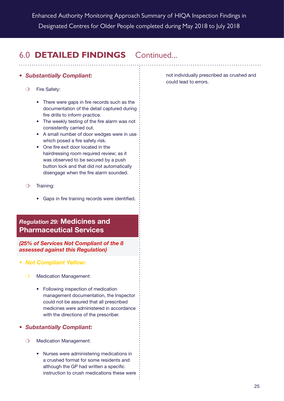# 6.0 **DETAILED FINDINGS** Continued...

#### *• Substantially Compliant:*

- O Fire Safety:
	- There were gaps in fire records such as the documentation of the detail captured during fire drills to inform practice.
	- The weekly testing of the fire alarm was not consistently carried out.
	- A small number of door wedges were in use which posed a fire safety risk.
	- One fire exit door located in the hairdressing room required review; as it was observed to be secured by a push button lock and that did not automatically disengage when the fire alarm sounded.
- ❍ Training:
	- Gaps in fire training records were identified.

#### *Regulation 29:* Medicines and Pharmaceutical Services

*(25% of Services Not Compliant of the 8 assessed against this Regulation)*

- *• Not Compliant Yellow:*
	- O Medication Management:
		- Following inspection of medication management documentation, the Inspector could not be assured that all prescribed medicines were administered in accordance with the directions of the prescriber.

#### *• Substantially Compliant:*

- O Medication Management:
	- Nurses were administering medications in a crushed format for some residents and although the GP had written a specific instruction to crush medications these were

not individually prescribed as crushed and could lead to errors.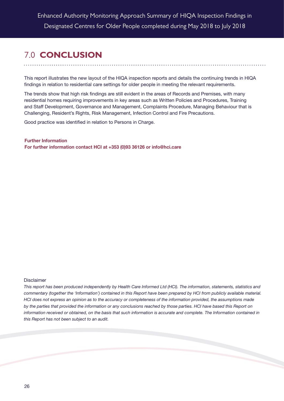# 7.0 **CONCLUSION**

This report illustrates the new layout of the HIQA inspection reports and details the continuing trends in HIQA findings in relation to residential care settings for older people in meeting the relevant requirements.

The trends show that high risk findings are still evident in the areas of Records and Premises, with many residential homes requiring improvements in key areas such as Written Policies and Procedures, Training and Staff Development, Governance and Management, Complaints Procedure, Managing Behaviour that is Challenging, Resident's Rights, Risk Management, Infection Control and Fire Precautions.

Good practice was identified in relation to Persons in Charge.

Further Information For further information contact HCI at +353 (0)93 36126 or info@hci.care

#### Disclaimer

*This report has been produced independently by Health Care Informed Ltd (HCI). The information, statements, statistics and commentary (together the 'Information') contained in this Report have been prepared by HCI from publicly available material. HCI does not express an opinion as to the accuracy or completeness of the information provided, the assumptions made by the parties that provided the information or any conclusions reached by those parties. HCI have based this Report on*  information received or obtained, on the basis that such information is accurate and complete. The Information contained in *this Report has not been subject to an audit.*